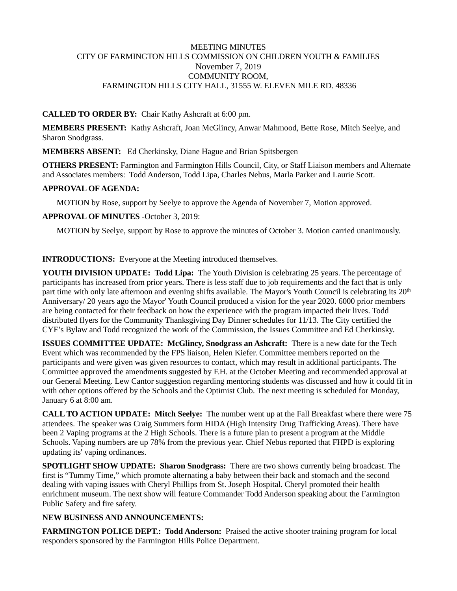## MEETING MINUTES CITY OF FARMINGTON HILLS COMMISSION ON CHILDREN YOUTH & FAMILIES November 7, 2019 COMMUNITY ROOM, FARMINGTON HILLS CITY HALL, 31555 W. ELEVEN MILE RD. 48336

## **CALLED TO ORDER BY:** Chair Kathy Ashcraft at 6:00 pm.

**MEMBERS PRESENT:** Kathy Ashcraft, Joan McGlincy, Anwar Mahmood, Bette Rose, Mitch Seelye, and Sharon Snodgrass.

**MEMBERS ABSENT:** Ed Cherkinsky, Diane Hague and Brian Spitsbergen

**OTHERS PRESENT:** Farmington and Farmington Hills Council, City, or Staff Liaison members and Alternate and Associates members: Todd Anderson, Todd Lipa, Charles Nebus, Marla Parker and Laurie Scott.

#### **APPROVAL OF AGENDA:**

MOTION by Rose, support by Seelye to approve the Agenda of November 7, Motion approved.

## **APPROVAL OF MINUTES** -October 3, 2019:

MOTION by Seelye, support by Rose to approve the minutes of October 3. Motion carried unanimously.

## **INTRODUCTIONS:** Everyone at the Meeting introduced themselves.

**YOUTH DIVISION UPDATE: Todd Lipa:** The Youth Division is celebrating 25 years. The percentage of participants has increased from prior years. There is less staff due to job requirements and the fact that is only part time with only late afternoon and evening shifts available. The Mayor's Youth Council is celebrating its 20<sup>th</sup> Anniversary/ 20 years ago the Mayor' Youth Council produced a vision for the year 2020. 6000 prior members are being contacted for their feedback on how the experience with the program impacted their lives. Todd distributed flyers for the Community Thanksgiving Day Dinner schedules for 11/13. The City certified the CYF's Bylaw and Todd recognized the work of the Commission, the Issues Committee and Ed Cherkinsky.

**ISSUES COMMITTEE UPDATE: McGlincy, Snodgrass an Ashcraft:** There is a new date for the Tech Event which was recommended by the FPS liaison, Helen Kiefer. Committee members reported on the participants and were given was given resources to contact, which may result in additional participants. The Committee approved the amendments suggested by F.H. at the October Meeting and recommended approval at our General Meeting. Lew Cantor suggestion regarding mentoring students was discussed and how it could fit in with other options offered by the Schools and the Optimist Club. The next meeting is scheduled for Monday, January 6 at 8:00 am.

**CALL TO ACTION UPDATE: Mitch Seelye:** The number went up at the Fall Breakfast where there were 75 attendees. The speaker was Craig Summers form HIDA (High Intensity Drug Trafficking Areas). There have been 2 Vaping programs at the 2 High Schools. There is a future plan to present a program at the Middle Schools. Vaping numbers are up 78% from the previous year. Chief Nebus reported that FHPD is exploring updating its' vaping ordinances.

**SPOTLIGHT SHOW UPDATE: Sharon Snodgrass:** There are two shows currently being broadcast. The first is "Tummy Time," which promote alternating a baby between their back and stomach and the second dealing with vaping issues with Cheryl Phillips from St. Joseph Hospital. Cheryl promoted their health enrichment museum. The next show will feature Commander Todd Anderson speaking about the Farmington Public Safety and fire safety.

# **NEW BUSINESS AND ANNOUNCEMENTS:**

**FARMINGTON POLICE DEPT.: Todd Anderson:** Praised the active shooter training program for local responders sponsored by the Farmington Hills Police Department.